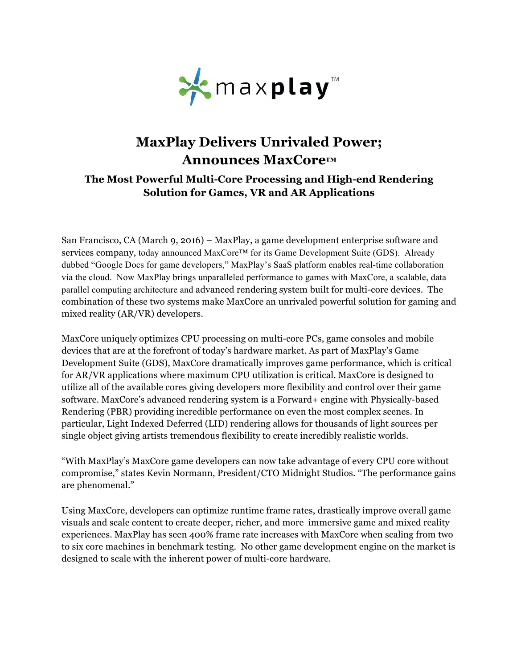

## **MaxPlay Delivers Unrivaled Power; Announces MaxCore™**

## **The Most Powerful Multi-Core Processing and High-end Rendering Solution for Games, VR and AR Applications**

San Francisco, CA (March 9, 2016) – MaxPlay, a game development enterprise software and services company, today announced MaxCore™ for its Game Development Suite (GDS). Already dubbed "Google Docs for game developers," MaxPlay's SaaS platform enables real-time collaboration via the cloud. Now MaxPlay brings unparalleled performance to games with MaxCore, a scalable, data parallel computing architecture and advanced rendering system built for multi-core devices. The combination of these two systems make MaxCore an unrivaled powerful solution for gaming and mixed reality (AR/VR) developers.

MaxCore uniquely optimizes CPU processing on multi-core PCs, game consoles and mobile devices that are at the forefront of today's hardware market. As part of MaxPlay's Game Development Suite (GDS), MaxCore dramatically improves game performance, which is critical for AR/VR applications where maximum CPU utilization is critical. MaxCore is designed to utilize all of the available cores giving developers more flexibility and control over their game software. MaxCore's advanced rendering system is a Forward+ engine with Physically-based Rendering (PBR) providing incredible performance on even the most complex scenes. In particular, Light Indexed Deferred (LID) rendering allows for thousands of light sources per single object giving artists tremendous flexibility to create incredibly realistic worlds.

"With MaxPlay's MaxCore game developers can now take advantage of every CPU core without compromise," states Kevin Normann, President/CTO Midnight Studios. "The performance gains are phenomenal."

Using MaxCore, developers can optimize runtime frame rates, drastically improve overall game visuals and scale content to create deeper, richer, and more immersive game and mixed reality experiences. MaxPlay has seen 400% frame rate increases with MaxCore when scaling from two to six core machines in benchmark testing. No other game development engine on the market is designed to scale with the inherent power of multi-core hardware.